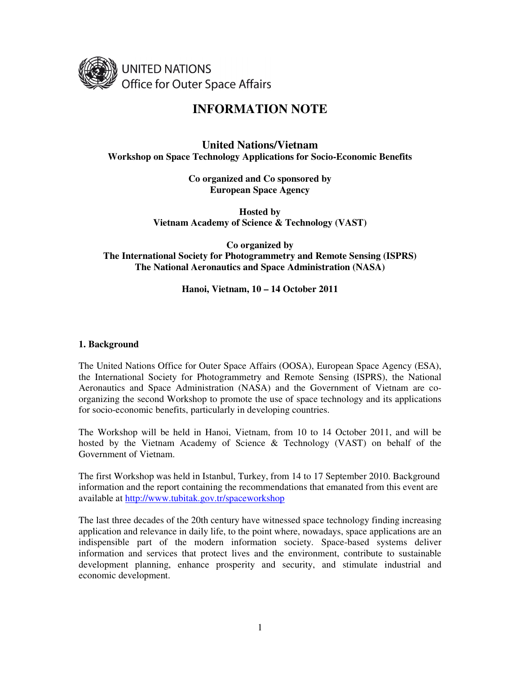

# **INFORMATION NOTE**

# **United Nations/Vietnam Workshop on Space Technology Applications for Socio-Economic Benefits**

**Co organized and Co sponsored by European Space Agency** 

**Hosted by Vietnam Academy of Science & Technology (VAST)** 

**Co organized by The International Society for Photogrammetry and Remote Sensing (ISPRS) The National Aeronautics and Space Administration (NASA)** 

# **Hanoi, Vietnam, 10 – 14 October 2011**

#### **1. Background**

The United Nations Office for Outer Space Affairs (OOSA), European Space Agency (ESA), the International Society for Photogrammetry and Remote Sensing (ISPRS), the National Aeronautics and Space Administration (NASA) and the Government of Vietnam are coorganizing the second Workshop to promote the use of space technology and its applications for socio-economic benefits, particularly in developing countries.

The Workshop will be held in Hanoi, Vietnam, from 10 to 14 October 2011, and will be hosted by the Vietnam Academy of Science & Technology (VAST) on behalf of the Government of Vietnam.

The first Workshop was held in Istanbul, Turkey, from 14 to 17 September 2010. Background information and the report containing the recommendations that emanated from this event are available at http://www.tubitak.gov.tr/spaceworkshop

The last three decades of the 20th century have witnessed space technology finding increasing application and relevance in daily life, to the point where, nowadays, space applications are an indispensible part of the modern information society. Space-based systems deliver information and services that protect lives and the environment, contribute to sustainable development planning, enhance prosperity and security, and stimulate industrial and economic development.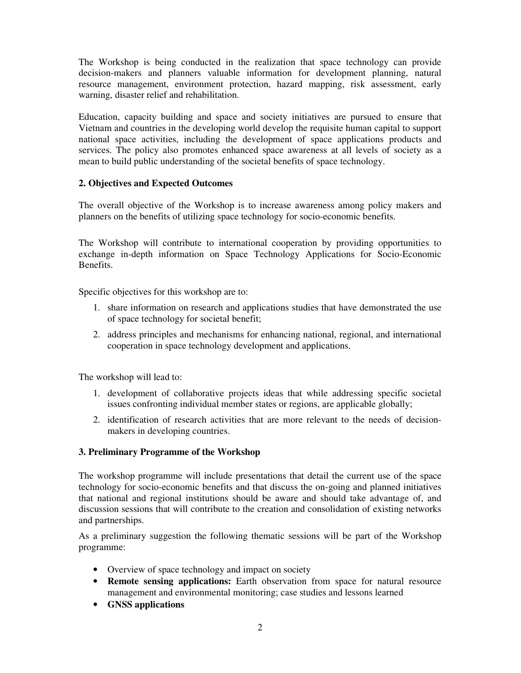The Workshop is being conducted in the realization that space technology can provide decision-makers and planners valuable information for development planning, natural resource management, environment protection, hazard mapping, risk assessment, early warning, disaster relief and rehabilitation.

Education, capacity building and space and society initiatives are pursued to ensure that Vietnam and countries in the developing world develop the requisite human capital to support national space activities, including the development of space applications products and services. The policy also promotes enhanced space awareness at all levels of society as a mean to build public understanding of the societal benefits of space technology.

#### **2. Objectives and Expected Outcomes**

The overall objective of the Workshop is to increase awareness among policy makers and planners on the benefits of utilizing space technology for socio-economic benefits.

The Workshop will contribute to international cooperation by providing opportunities to exchange in-depth information on Space Technology Applications for Socio-Economic Benefits.

Specific objectives for this workshop are to:

- 1. share information on research and applications studies that have demonstrated the use of space technology for societal benefit;
- 2. address principles and mechanisms for enhancing national, regional, and international cooperation in space technology development and applications.

The workshop will lead to:

- 1. development of collaborative projects ideas that while addressing specific societal issues confronting individual member states or regions, are applicable globally;
- 2. identification of research activities that are more relevant to the needs of decisionmakers in developing countries.

#### **3. Preliminary Programme of the Workshop**

The workshop programme will include presentations that detail the current use of the space technology for socio-economic benefits and that discuss the on-going and planned initiatives that national and regional institutions should be aware and should take advantage of, and discussion sessions that will contribute to the creation and consolidation of existing networks and partnerships.

As a preliminary suggestion the following thematic sessions will be part of the Workshop programme:

- Overview of space technology and impact on society
- **Remote sensing applications:** Earth observation from space for natural resource management and environmental monitoring; case studies and lessons learned
- **GNSS applications**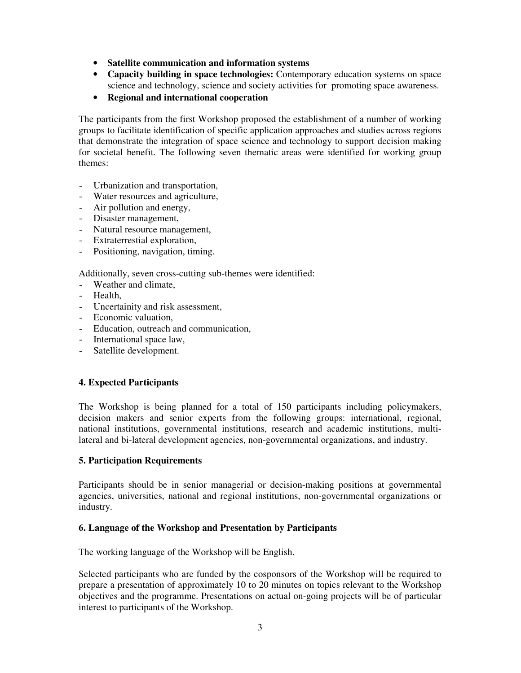- **Satellite communication and information systems**
- **Capacity building in space technologies:** Contemporary education systems on space science and technology, science and society activities for promoting space awareness.
- **Regional and international cooperation**

The participants from the first Workshop proposed the establishment of a number of working groups to facilitate identification of specific application approaches and studies across regions that demonstrate the integration of space science and technology to support decision making for societal benefit. The following seven thematic areas were identified for working group themes:

- Urbanization and transportation,
- Water resources and agriculture,
- Air pollution and energy,
- Disaster management,
- Natural resource management,
- Extraterrestial exploration,
- Positioning, navigation, timing.

Additionally, seven cross-cutting sub-themes were identified:

- Weather and climate,
- Health,
- Uncertainity and risk assessment,
- Economic valuation,
- Education, outreach and communication,
- International space law,
- Satellite development.

# **4. Expected Participants**

The Workshop is being planned for a total of 150 participants including policymakers, decision makers and senior experts from the following groups: international, regional, national institutions, governmental institutions, research and academic institutions, multilateral and bi-lateral development agencies, non-governmental organizations, and industry.

#### **5. Participation Requirements**

Participants should be in senior managerial or decision-making positions at governmental agencies, universities, national and regional institutions, non-governmental organizations or industry.

#### **6. Language of the Workshop and Presentation by Participants**

The working language of the Workshop will be English.

Selected participants who are funded by the cosponsors of the Workshop will be required to prepare a presentation of approximately 10 to 20 minutes on topics relevant to the Workshop objectives and the programme. Presentations on actual on-going projects will be of particular interest to participants of the Workshop.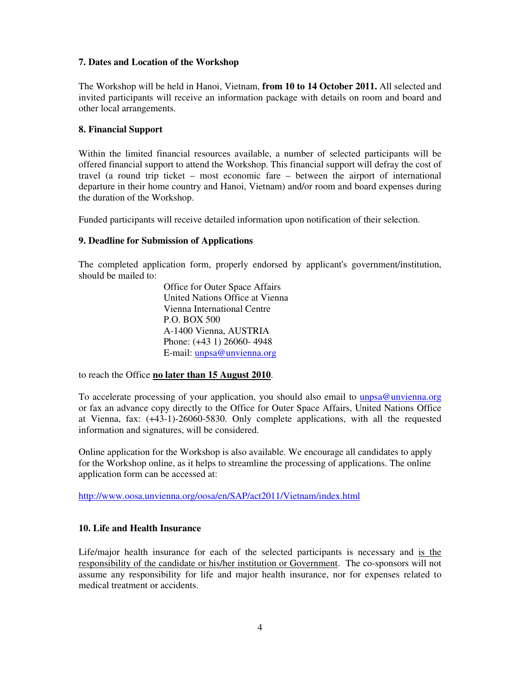# **7. Dates and Location of the Workshop**

The Workshop will be held in Hanoi, Vietnam, **from 10 to 14 October 2011.** All selected and invited participants will receive an information package with details on room and board and other local arrangements.

# **8. Financial Support**

Within the limited financial resources available, a number of selected participants will be offered financial support to attend the Workshop. This financial support will defray the cost of travel (a round trip ticket – most economic fare – between the airport of international departure in their home country and Hanoi, Vietnam) and/or room and board expenses during the duration of the Workshop.

Funded participants will receive detailed information upon notification of their selection.

# **9. Deadline for Submission of Applications**

The completed application form, properly endorsed by applicant's government/institution, should be mailed to:

> Office for Outer Space Affairs United Nations Office at Vienna Vienna International Centre P.O. BOX 500 A-1400 Vienna, AUSTRIA Phone: (+43 1) 26060- 4948 E-mail: unpsa@unvienna.org

to reach the Office **no later than 15 August 2010**.

To accelerate processing of your application, you should also email to unpsa@unvienna.org or fax an advance copy directly to the Office for Outer Space Affairs, United Nations Office at Vienna, fax: (+43-1)-26060-5830. Only complete applications, with all the requested information and signatures, will be considered.

Online application for the Workshop is also available. We encourage all candidates to apply for the Workshop online, as it helps to streamline the processing of applications. The online application form can be accessed at:

http://www.oosa.unvienna.org/oosa/en/SAP/act2011/Vietnam/index.html

#### **10. Life and Health Insurance**

Life/major health insurance for each of the selected participants is necessary and is the responsibility of the candidate or his/her institution or Government. The co-sponsors will not assume any responsibility for life and major health insurance, nor for expenses related to medical treatment or accidents.